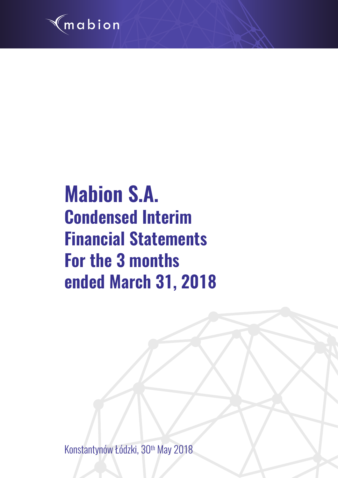

# **Mabion S.A. Condensed Interim Financial Statements For the 3 months ended March 31, 2018**

Konstantynów Łódzki, 30<sup>th</sup> May 2018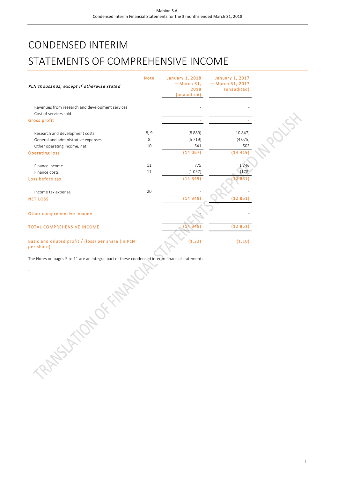# CONDENSED INTERIM STATEMENTS OF COMPREHENSIVE INCOME

| PLN thousands, except if otherwise stated                         | <b>Note</b> | <b>January 1, 2018</b><br>$-$ March 31,<br>2018<br>(unaudited) | <b>January 1, 2017</b><br>- March 31, 2017<br>(unaudited) |  |
|-------------------------------------------------------------------|-------------|----------------------------------------------------------------|-----------------------------------------------------------|--|
| Revenues from research and development services                   |             |                                                                |                                                           |  |
| Cost of services sold                                             |             |                                                                |                                                           |  |
| Gross profit                                                      |             |                                                                |                                                           |  |
| Research and development costs                                    | 8,9         | (8889)                                                         | (10847)                                                   |  |
| General and administrative expenses                               | 8           | (5719)                                                         | (4075)                                                    |  |
| Other operating income, net                                       | 10          | 541                                                            | 503                                                       |  |
| <b>Operating loss</b>                                             |             | (14067)                                                        | (14419)                                                   |  |
|                                                                   |             |                                                                |                                                           |  |
| Finance income                                                    | 11          | 775                                                            | 1746                                                      |  |
| Finance costs                                                     | 11          | (1057)                                                         | (178)                                                     |  |
| Loss before tax                                                   |             | (14349)                                                        | (12851)                                                   |  |
| Income tax expense                                                | 20          |                                                                |                                                           |  |
| <b>NET LOSS</b>                                                   |             | (14349)                                                        | (12851                                                    |  |
| Other comprehensive income                                        |             |                                                                |                                                           |  |
| <b>TOTAL COMPREHENSIVE INCOME</b>                                 |             | (14349)                                                        | (12851)                                                   |  |
| Basic and diluted profit / (loss) per share (in PLN<br>per share) |             | (1.22)                                                         | (1.10)                                                    |  |

The Notes on pages 5 to 11 are an integral part of these condensed interim financial statements. **RANSWAND OF TANKING**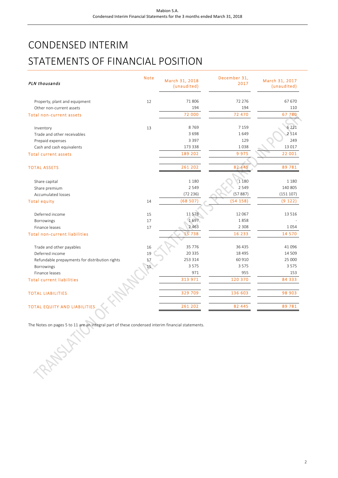# CONDENSED INTERIM STATEMENTS OF FINANCIAL POSITION

| PLN thousands                                  | <b>Note</b> | March 31, 2018<br>(unaudited) | December 31,<br>2017 | March 31, 2017<br>(unaudited) |
|------------------------------------------------|-------------|-------------------------------|----------------------|-------------------------------|
| Property, plant and equipment                  | 12          | 71806                         | 72 276               | 67 670                        |
| Other non-current assets                       |             | 194                           | 194                  | 110                           |
| <b>Total non-current assets</b>                |             | 72 000                        | 72 470               | 67 780                        |
| Inventory                                      | 13          | 8769                          | 7 1 5 9              | 6 2 2 1                       |
| Trade and other receivables                    |             | 3698                          | 1649                 | 2514                          |
| Prepaid expenses                               |             | 3 3 9 7                       | 129                  | 249                           |
| Cash and cash equivalents                      |             | 173 338                       | 1038                 | 13 017                        |
| <b>Total current assets</b>                    |             | 189 202                       | 9975                 | 22 001                        |
| <b>TOTAL ASSETS</b>                            |             | 261 202                       | 82 445               | 89 781                        |
| Share capital                                  |             | 1 1 8 0                       | 1 1 8 0              | 1 1 8 0                       |
| Share premium                                  |             | 2549                          | 2 5 4 9              | 140 805                       |
| Accumulated losses                             |             | (72236)                       | (57887)              | (151107)                      |
| <b>Total equity</b>                            | 14          | (68507)                       | (54158)              | (9122)                        |
|                                                |             |                               |                      |                               |
| Deferred income                                | 15          | 11578<br>1697                 | 12 067<br>1858       | 13 5 16                       |
| Borrowings<br>Finance leases                   | 17          | 2 4 6 3                       | 2 3 0 8              | 1054                          |
|                                                | 17          | 15 738                        | 16 233               | 14 570                        |
| <b>Total non-current liabilities</b>           |             |                               |                      |                               |
| Trade and other payables                       | 16          | 35 7 7 6                      | 36 435               | 41 096                        |
| Deferred income                                | 19          | 20 3 35                       | 18 4 9 5             | 14 5 09                       |
| Refundable prepayments for distribution rights | 17          | 253 314                       | 60 910               | 25 000                        |
| Borrowings                                     | 15          | 3575                          | 3575                 | 3575                          |
| Finance leases                                 |             | 971                           | 955                  | 153                           |
| <b>Total current liabilities</b>               |             | 313 971                       | 120 370              | 84 333                        |
| <b>TOTAL LIABILITIES</b>                       |             | 329 709                       | 136 603              | 98 903                        |
| <b>TOTAL EQUITY AND LIABILITIES</b>            |             | 261 202                       | 82 445               | 89 781                        |

The Notes on pages 5 to 11 are an integral part of these condensed interim financial statements.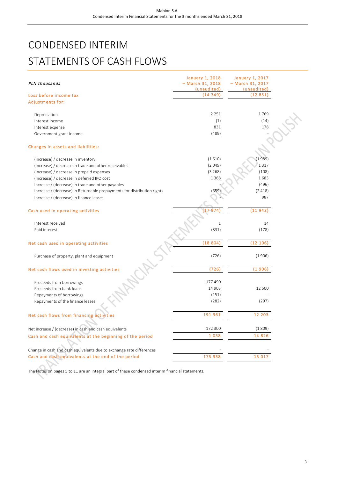# CONDENSED INTERIM STATEMENTS OF CASH FLOWS

| PLN thousands                                                           | <b>January 1, 2018</b><br>- March 31, 2018<br>(unaudited) | <b>January 1, 2017</b><br>- March 31, 2017<br>(unaudited) |  |
|-------------------------------------------------------------------------|-----------------------------------------------------------|-----------------------------------------------------------|--|
| Loss before income tax                                                  | (14349)                                                   | (12851)                                                   |  |
| <b>Adjustments for:</b>                                                 |                                                           |                                                           |  |
| Depreciation                                                            | 2 2 5 1                                                   | 1769                                                      |  |
| Interest income                                                         | (1)                                                       | (14)                                                      |  |
| Interest expense                                                        | 831                                                       | 178                                                       |  |
| Government grant income                                                 | (489)                                                     |                                                           |  |
| Changes in assets and liabilities:                                      |                                                           |                                                           |  |
| (Increase) / decrease in inventory                                      | (1610)                                                    | (1989)                                                    |  |
| (Increase) / decrease in trade and other receivables                    | (2049)                                                    | 1317                                                      |  |
| (Increase) / decrease in prepaid expenses                               | (3268)                                                    | (108)                                                     |  |
| (Increase) / decrease in deferred IPO cost                              | 1 3 6 8                                                   | 1683                                                      |  |
| Increase / (decrease) in trade and other payables                       |                                                           | (496)                                                     |  |
| Increase / (decrease) in Returnable prepayments for distribution rights | (659)                                                     | (2418)                                                    |  |
| Increase / (decrease) in finance leases                                 |                                                           | 987                                                       |  |
| Cash used in operating activities                                       | (17.974)                                                  | (11942)                                                   |  |
|                                                                         |                                                           |                                                           |  |
| Interest received                                                       | $\,1\,$                                                   | 14                                                        |  |
| Paid interest                                                           | (831)                                                     | (178)                                                     |  |
| Net cash used in operating activities                                   | (18804)                                                   | (12 106)                                                  |  |
| Purchase of property, plant and equipment                               | (726)                                                     | (1906)                                                    |  |
| Net cash flows used in investing activities                             | (726)                                                     | (1906)                                                    |  |
| Proceeds from borrowings                                                | 177 490                                                   |                                                           |  |
| Proceeds from bank loans                                                | 14 903                                                    | 12 500                                                    |  |
| Repayments of borrowings                                                | (151)                                                     |                                                           |  |
| Repayments of the finance leases                                        | (282)                                                     | (297)                                                     |  |
| Net cash flows from financing activities                                | 191 961                                                   | 12 203                                                    |  |
| Net increase / (decrease) in cash and cash equivalents                  | 172 300                                                   | (1809)                                                    |  |
| Cash and cash equivalents at the beginning of the period                | 1038                                                      | 14 8 26                                                   |  |
| Change in cash and cash equivalents due to exchange rate differences    |                                                           |                                                           |  |
| Cash and cash equivalents at the end of the period                      | 173 338                                                   | 13 017                                                    |  |
|                                                                         |                                                           |                                                           |  |

The Notes on pages 5 to 11 are an integral part of these condensed interim financial statements.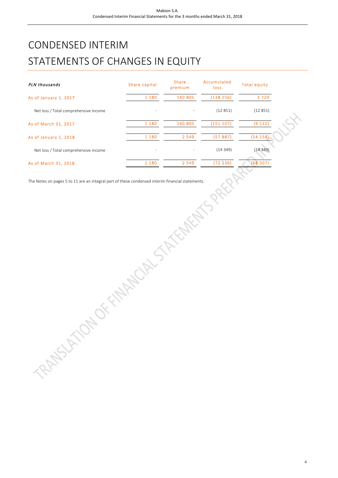# CONDENSED INTERIM STATEMENTS OF CHANGES IN EQUITY

| PLN thousands                         | Share capital | <b>Share</b><br>premium | Accumulated<br><b>loss</b> | <b>Total equity</b> |
|---------------------------------------|---------------|-------------------------|----------------------------|---------------------|
| As of January 1, 2017                 | 1 1 8 0       | 140 805                 | (138 256)                  | 3729                |
| Net loss / Total comprehensive income |               |                         | (12851)                    | (12851)             |
| As of March 31, 2017                  | 1 1 8 0       | 140 805                 | (151 107)                  | (9122)              |
| As of January 1, 2018                 | 1 1 8 0       | 2 5 4 9                 | (57887)                    | (54158)             |
| Net loss / Total comprehensive income |               |                         | (14349)                    | (14349)             |
| As of March 31, 2018                  | 1 1 8 0       | 2 5 4 9                 | (72236)                    | (68507)             |

The Notes on pages 5 to 11 are an integral part of these condensed interim financial statements.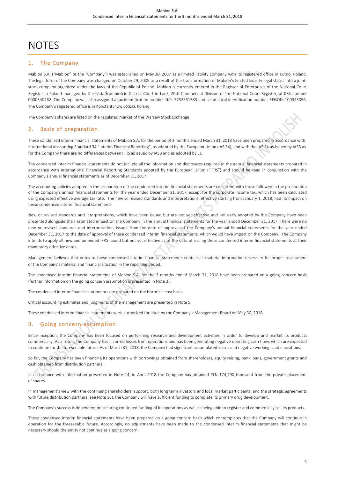# NOTES

# 1. The Company

Mabion S.A. ("Mabion" or the "Company") was established on May 30, 2007 as a limited liability company with its registered office in Kutno, Poland. The legal form of the Company was changed on October 29, 2009 as a result of the transformation of Mabion's limited liability legal status into a jointstock company organized under the laws of the Republic of Poland. Mabion is currently entered in the Register of Enterprises of the National Court Register in Poland managed by the Łódź-Śródmieście District Court in Łódź, 20th Commercial Division of the National Court Register, at KRS number 0000340462. The Company was also assigned a tax identification number NIP: 7752561383 and a statistical identification number REGON: 100343056. The Company's registered office is in Konstantynów Łódzki, Poland.

The Company's shares are listed on the regulated market of the Warsaw Stock Exchange.

#### 2. Basis of preparation

These condensed interim financial statements of Mabion S.A. for the period of 3 months ended March 31, 2018 have been prepared in accordance with International Accounting Standard 34 "Interim Financial Reporting", as adopted by the European Union (IAS 34), and with the IAS 34 as issued by IASB as for the Company there are no differences between IFRS as issued by IASB and as adopted by EU.

The condensed interim financial statements do not include all the information and disclosures required in the annual financial statements prepared in accordance with International Financial Reporting Standards adopted by the European Union ("IFRS") and should be read in conjunction with the Company's annual financial statements as of December 31, 2017.

The accounting policies adopted in the preparation of the condensed interim financial statements are consistent with those followed in the preparation of the Company's annual financial statements for the year ended December 31, 2017, except for the corporate income tax, which has been calculated using expected effective average tax rate. The new or revised standards and interpretations, effective starting from January 1, 2018, had no impact on these condensed interim financial statements.

New or revised standards and interpretations, which have been issued but are not yet effective and not early adopted by the Company have been presented alongside their estimated impact on the Company in the annual financial statements for the year ended December 31, 2017. There were no new or revised standards and interpretations issued from the date of approval of the Company's annual financial statements for the year ended December 31, 2017 to the date of approval of these condensed interim financial statements, which would have impact on the Company. The Company intends to apply all new and amended IFRS issued but not yet effective as of the date of issuing these condensed interim financial statements at their mandatory effective dates.

Management believes that notes to these condensed interim financial statements contain all material information necessary for proper assessment of the Company's material and financial situation in the reporting period.

The condensed interim financial statements of Mabion S.A. for the 3 months ended March 31, 2018 have been prepared on a going concern basis (further information on the going concern assumption is presented in Note 3).

The condensed interim financial statements are prepared on the historical cost basis.

Critical accounting estimates and judgments of the management are presented in Note 5.

These condensed interim financial statements were authorized for issue by the Company's Management Board on May 30, 2018.

# 3. Going concern assumption

Since inception, the Company has been focused on performing research and development activities in order to develop and market its products commercially. As a result, the Company has incurred losses from operations and has been generating negative operating cash flows which are expected to continue for the foreseeable future. As of March 31, 2018, the Company had significant accumulated losses and negative working capital positions.

So far, the Company has been financing its operations with borrowings obtained from shareholders, equity raising, bank loans, government grants and cash obtained from distribution partners.

In accordance with information presented in Note 14, in April 2018 the Company has obtained PLN 174,790 thousand from the private placement of shares.

In management's view with the continuing shareholders' support, both long term investors and local market participants, and the strategic agreements with future distribution partners (see Note 16), the Company will have sufficient funding to complete its primary drug development.

The Company's success is dependent on securing continued funding of its operations as well as being able to register and commercially sell its products.

These condensed interim financial statements have been prepared on a going concern basis which contemplates that the Company will continue in operation for the foreseeable future. Accordingly, no adjustments have been made to the condensed interim financial statements that might be necessary should the entity not continue as a going concern.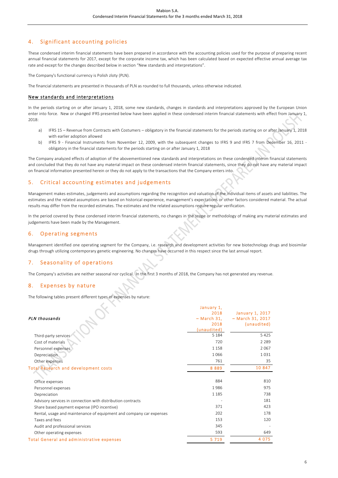# 4. Significant accounting policies

These condensed interim financial statements have been prepared in accordance with the accounting policies used for the purpose of preparing recent annual financial statements for 2017, except for the corporate income tax, which has been calculated based on expected effective annual average tax rate and except for the changes described below in section "New standards and interpretations".

The Company's functional currency is Polish zloty (PLN).

The financial statements are presented in thousands of PLN as rounded to full thousands, unless otherwise indicated.

#### New standards and interpretations

In the periods starting on or after January 1, 2018, some new standards, changes in standards and interpretations approved by the European Union enter into force. New or changed IFRS presented below have been applied in these condensed interim financial statements with effect from January 1, 2018:

- a) IFRS 15 Revenue from Contracts with Costumers obligatory in the financial statements for the periods starting on or after January 1, 2018 with earlier adoption allowed
- b) IFRS 9 Financial Instruments from November 12, 2009, with the subsequent changes to IFRS 9 and IFRS 7 from December 16, 2011 obligatory in the financial statements for the periods starting on or after January 1, 2018

The Company analyzed effects of adoption of the abovementioned new standards and interpretations on these condensed interim financial statements and concluded that they do not have any material impact on these condensed interim financial statements, since they do not have any material impact on financial information presented herein or they do not apply to the transactions that the Company enters into.

### 5. Critical accounting estimates and judgements

Management makes estimates, judgements and assumptions regarding the recognition and valuation of the individual items of assets and liabilities. The estimates and the related assumptions are based on historical experience, management's expectations or other factors considered material. The actual results may differ from the recorded estimates. The estimates and the related assumptions require regular verification.

In the period covered by these condensed interim financial statements, no changes in the scope or methodology of making any material estimates and judgements have been made by the Management.

#### 6. Operating segments

Management identified one operating segment for the Company, i.e. research and development activities for new biotechnology drugs and biosimilar drugs through utilizing contemporary genetic engineering. No changes have occurred in this respect since the last annual report.

### 7. Seasonality of operations

The Company's activities are neither seasonal nor cyclical. In the first 3 months of 2018, the Company has not generated any revenue.

#### 8. Expenses by nature

The following tables present different types of expenses by nature:

|                                                                     | January 1,   |                    |
|---------------------------------------------------------------------|--------------|--------------------|
|                                                                     | 2018         | January 1, 2017    |
| PLN thousands                                                       | $-March 31,$ | $-$ March 31, 2017 |
|                                                                     | 2018         | (unaudited)        |
|                                                                     | (unaudited)  |                    |
| Third-party services                                                | 5 1 8 4      | 5425               |
| Cost of materials                                                   | 720          | 2 2 8 9            |
| Personnel expenses                                                  | 1 1 5 8      | 2067               |
| Depreciation                                                        | 1066         | 1031               |
| Other expenses                                                      | 761          | 35                 |
| <b>Total Research and development costs</b>                         | 8889         | 10 847             |
|                                                                     |              |                    |
| Office expenses                                                     | 884          | 810                |
| Personnel expenses                                                  | 1986         | 975                |
| Depreciation                                                        | 1 1 8 5      | 738                |
| Advisory services in connection with distribution contracts         |              | 181                |
| Share based payment expense (IPO incentive)                         | 371          | 423                |
| Rental, usage and maintenance of equipment and company car expenses | 202          | 178                |
| Taxes and fees                                                      | 153          | 120                |
| Audit and professional services                                     | 345          |                    |
| Other operating expenses                                            | 593          | 649                |
| Total General and administrative expenses                           | 5 7 1 9      | 4 0 7 5            |
|                                                                     |              |                    |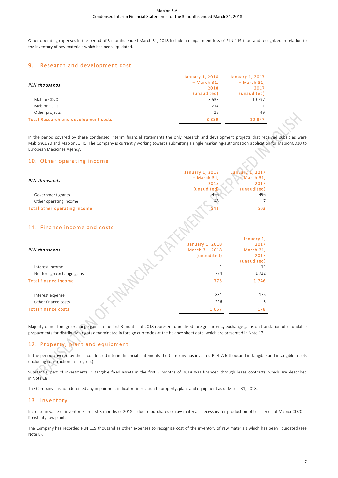Other operating expenses in the period of 3 months ended March 31, 2018 include an impairment loss of PLN 119 thousand recognized in relation to the inventory of raw materials which has been liquidated.

## 9. Research and development cost

|                                             | January 1, 2018 | <b>January 1, 2017</b> |
|---------------------------------------------|-----------------|------------------------|
| PLN thousands                               | $-March$ 31,    | $-March$ 31,           |
|                                             | 2018            | 2017                   |
|                                             | (unaudited)     | (unaudited)            |
| MabionCD20                                  | 8637            | 10797                  |
| MabionEGFR                                  | 214             |                        |
| Other projects                              | 38              | 49                     |
| <b>Total Research and development costs</b> | 8889            | 10 847                 |
|                                             |                 |                        |

In the period covered by these condensed interim financial statements the only research and development projects that received subsidies were MabionCD20 and MabionEGFR. The Company is currently working towards submitting a single marketing-authorization application for MabionCD20 to European Medicines Agency.

## 10. Other operating income

| <b>January 1, 2017</b><br><b>January 1, 2018</b><br>$-$ March 31,<br>$-March 31,$<br>PLN thousands<br>2018<br>2017<br>(unaudited)<br>(unaudited)<br>496<br>496<br>Government grants<br>7<br>Other operating income<br>45<br>541<br>503<br>January 1,<br><b>January 1, 2018</b><br>2017<br>$-$ March 31, 2018<br>$-March$ 31,<br>(unaudited)<br>2017<br>(unaudited)<br>$\mathbf{1}$<br>14<br>Interest income<br>774<br>1732<br>Net foreign exchange gains<br>775<br>1746<br>831<br>175<br>Interest expense<br>226<br>3<br>Other finance costs<br>1 0 5 7<br>178 |                              |  |
|----------------------------------------------------------------------------------------------------------------------------------------------------------------------------------------------------------------------------------------------------------------------------------------------------------------------------------------------------------------------------------------------------------------------------------------------------------------------------------------------------------------------------------------------------------------|------------------------------|--|
|                                                                                                                                                                                                                                                                                                                                                                                                                                                                                                                                                                |                              |  |
|                                                                                                                                                                                                                                                                                                                                                                                                                                                                                                                                                                |                              |  |
|                                                                                                                                                                                                                                                                                                                                                                                                                                                                                                                                                                |                              |  |
|                                                                                                                                                                                                                                                                                                                                                                                                                                                                                                                                                                |                              |  |
|                                                                                                                                                                                                                                                                                                                                                                                                                                                                                                                                                                |                              |  |
|                                                                                                                                                                                                                                                                                                                                                                                                                                                                                                                                                                |                              |  |
|                                                                                                                                                                                                                                                                                                                                                                                                                                                                                                                                                                | Total other operating income |  |
|                                                                                                                                                                                                                                                                                                                                                                                                                                                                                                                                                                | 11. Finance income and costs |  |
|                                                                                                                                                                                                                                                                                                                                                                                                                                                                                                                                                                |                              |  |
|                                                                                                                                                                                                                                                                                                                                                                                                                                                                                                                                                                |                              |  |
|                                                                                                                                                                                                                                                                                                                                                                                                                                                                                                                                                                | PLN thousands                |  |
|                                                                                                                                                                                                                                                                                                                                                                                                                                                                                                                                                                |                              |  |
|                                                                                                                                                                                                                                                                                                                                                                                                                                                                                                                                                                |                              |  |
|                                                                                                                                                                                                                                                                                                                                                                                                                                                                                                                                                                |                              |  |
|                                                                                                                                                                                                                                                                                                                                                                                                                                                                                                                                                                |                              |  |
|                                                                                                                                                                                                                                                                                                                                                                                                                                                                                                                                                                | <b>Total finance income</b>  |  |
|                                                                                                                                                                                                                                                                                                                                                                                                                                                                                                                                                                |                              |  |
|                                                                                                                                                                                                                                                                                                                                                                                                                                                                                                                                                                |                              |  |
|                                                                                                                                                                                                                                                                                                                                                                                                                                                                                                                                                                |                              |  |
|                                                                                                                                                                                                                                                                                                                                                                                                                                                                                                                                                                | <b>Total finance costs</b>   |  |

Majority of net foreign exchange gains in the first 3 months of 2018 represent unrealized foreign currency exchange gains on translation of refundable prepayments for distribution rights denominated in foreign currencies at the balance sheet date, which are presented in Note 17.

# 12. Property, plant and equipment

In the period covered by these condensed interim financial statements the Company has invested PLN 726 thousand in tangible and intangible assets (including construction-in-progress).

Substantial part of investments in tangible fixed assets in the first 3 months of 2018 was financed through lease contracts, which are described in Note 18.

The Company has not identified any impairment indicators in relation to property, plant and equipment as of March 31, 2018.

# 13. Inventory

Increase in value of inventories in first 3 months of 2018 is due to purchases of raw materials necessary for production of trial series of MabionCD20 in Konstantynów plant.

The Company has recorded PLN 119 thousand as other expenses to recognize cost of the inventory of raw materials which has been liquidated (see Note 8).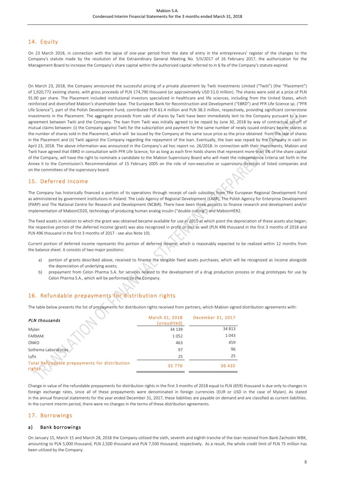# 14. Equity

On 23 March 2018, in connection with the lapse of one-year period from the date of entry in the entrepreneurs' register of the changes to the Company's statute made by the resolution of the Extraordinary General Meeting No. 5/II/2017 of 16 February 2017, the authorization for the Management Board to increase the Company's share capital within the authorized capital referred to in § 9a of the Company's statute expired.

On March 23, 2018, the Company announced the successful pricing of a private placement by Twiti Investments Limited ("Twiti") (the "Placement") of 1,920,772 existing shares, with gross proceeds of PLN 174,790 thousand (or approximately USD 51.0 million). The shares were sold at a price of PLN 91.00 per share. The Placement included institutional investors specialized in healthcare and life sciences, including from the United States, which reinforced and diversified Mabion's shareholder base. The European Bank for Reconstruction and Development ("EBRD") and PFR Life Science sp. ("PFR Life Science"), part of the Polish Development Fund, contributed PLN 61.4 million and PLN 38.3 million, respectively, providing significant cornerstone investments in the Placement. The aggregate proceeds from sale of shares by Twiti have been immediately lent to the Company pursuant to a loan agreement between Twiti and the Company. The loan from Twiti was initially agreed to be repaid by June 30, 2018 by way of contractual set-off of mutual claims between: (i) the Company against Twiti for the subscription and payment for the same number of newly issued ordinary bearer shares as the number of shares sold in the Placement, which will be issued by the Company at the same issue price as the price obtained from the sale of shares in the Placement and (ii) Twiti against the Company regarding the repayment of the loan. Eventually, the loan was repaid by the Company in cash on April 23, 2018. The above information was announced in the Company's ad hoc report no. 26/2018. In connection with their investments, Mabion and Twiti have agreed that EBRD in consultation with PFR Life Science, for as long as each firm holds shares that represent more than 1% of the share capital of the Company, will have the right to nominate a candidate to the Mabion Supervisory Board who will meet the independence criteria set forth in the Annex II to the Commission's Recommendation of 15 February 2005 on the role of non-executive or supervisory directors of listed companies and on the committees of the supervisory board.

### 15. Deferred Income

The Company has historically financed a portion of its operations through receipt of cash subsidies from The European Regional Development Fund as administered by government institutions in Poland: The Lodz Agency of Regional Development (ŁARR), The Polish Agency for Enterprise Development (PARP) and The National Centre for Research and Development (NCBiR). There have been three projects to finance research and development and/or implementation of MabionCD20, technology of producing human analog insulin ("double cutting") and MabionHER2.

The fixed assets in relation to which the grant was obtained became available for use in 2015 at which point the depreciation of these assets also began; the respective portion of the deferred income (grant) was also recognized in profit or loss as well (PLN 496 thousand in the first 3 months of 2018 and PLN 496 thousand in the first 3 months of 2017 - see also Note 10).

Current portion of deferred income represents this portion of deferred income, which is reasonably expected to be realized within 12 months from the balance sheet. It consists of two major positions:

- a) portion of grants described above, received to finance the tangible fixed assets purchases, which will be recognized as income alongside the depreciation of underlying assets;
- b) prepayment from Celon Pharma S.A. for services related to the development of a drug production process or drug prototypes for use by Celon Pharma S.A., which will be performed by the Company.

# 16. Refundable prepayments for distribution rights

The table below presents the list of prepayments for distribution rights received from partners, which Mabion signed distribution agreements with:

| PLN thousands                                           | March 31, 2018<br>(unaudited) | December 31, 2017 |
|---------------------------------------------------------|-------------------------------|-------------------|
| Mylan                                                   | 34 139                        | 34 813            |
| <b>FARMAK</b>                                           | 1052                          | 1043              |
| ONKO                                                    | 463                           | 459               |
| Sothema Laboratories                                    | 97                            | 96                |
| Lyfis                                                   | 25                            | 25                |
| Total Refundable prepayments for distribution<br>rights | 35 776                        | 36 435            |

Change in value of the refundable prepayments for distribution rights in the first 3 months of 2018 equal to PLN (659) thousand is due only to changes in foreign exchange rates, since all of these prepayments were denominated in foreign currencies (EUR or USD in the case of Mylan). As stated in the annual financial statements for the year ended December 31, 2017, these liabilities are payable on demand and are classified as current liabilities. In the current interim period, there were no changes in the terms of these distribution agreements.

#### 17. Borrowings

#### a) Bank borrowings

On January 15, March 15 and March 28, 2018 the Company utilized the sixth, seventh and eighth tranche of the loan received from Bank Zachodni WBK, amounting to PLN 5,000 thousand, PLN 2,500 thousand and PLN 7,500 thousand, respectively. As a result, the whole credit limit of PLN 75 million has been utilized by the Company.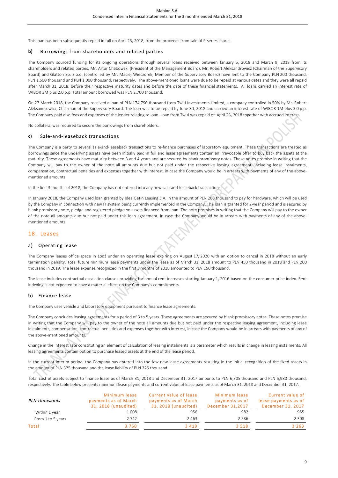This loan has been subsequently repaid in full on April 23, 2018, from the proceeds from sale of P-series shares

#### **b)** Borrowings from shareholders and related parties

The Company sourced funding for its ongoing operations through several loans received between January 5, 2018 and March 9, 2018 from its shareholders and related parties. Mr. Artur Chabowski (President of the Management Board), Mr. Robert Aleksandrowicz (Chairman of the Supervisory Board) and Glatton Sp. z o.o. (controlled by Mr. Maciej Wieczorek, Member of the Supervisory Board) have lent to the Company PLN 200 thousand, PLN 1,500 thousand and PLN 1,000 thousand, respectively. The above-mentioned loans were due to be repaid at various dates and they were all repaid after March 31, 2018, before their respective maturity dates and before the date of these financial statements. All loans carried an interest rate of WIBOR 3M plus 2.0 p.p. Total amount borrowed was PLN 2,700 thousand.

On 27 March 2018, the Company received a loan of PLN 174,790 thousand from Twiti Investments Limited, a company controlled in 50% by Mr. Robert Aleksandrowicz, Chairman of the Supervisory Board. The loan was to be repaid by June 30, 2018 and carried an interest rate of WIBOR 1M plus 3.0 p.p. The Company paid also fees and expenses of the lender relating to loan. Loan from Twiti was repaid on April 23, 2018 together with accrued interest.

No collateral was required to secure the borrowings from shareholders.

#### **c)** Sale-and-leaseback transactions

The Company is a party to several sale-and-leaseback transactions to re-finance purchases of laboratory equipment. These transactions are treated as borrowings since the underlying assets have been initially paid in full and lease agreements contain an irrevocable offer to buy back the assets at the maturity. These agreements have maturity between 3 and 4 years and are secured by blank promissory notes. These notes promise in writing that the Company will pay to the owner of the note all amounts due but not paid under the respective leasing agreement, including lease instalments, compensation, contractual penalties and expenses together with interest, in case the Company would be in arrears with payments of any of the abovementioned amounts.

In the first 3 months of 2018, the Company has not entered into any new sale-and-leaseback transactions.

In January 2018, the Company used loan granted by Idea Getin Leasing S.A. in the amount of PLN 208 thousand to pay for hardware, which will be used by the Company in connection with new IT system being currently implemented in the Company. The loan is granted for 2-year period and is secured by blank promissory note, pledge and registered pledge on assets financed from loan. The note promises in writing that the Company will pay to the owner of the note all amounts due but not paid under this loan agreement, in case the Company would be in arrears with payments of any of the abovementioned amounts.

#### 18. Leases

#### a) Operating lease

The Company leases office space in Łódź under an operating lease expiring on August 17, 2020 with an option to cancel in 2018 without an early termination penalty. Total future minimum lease payments under the lease as of March 31, 2018 amount to PLN 450 thousand in 2018 and PLN 200 thousand in 2019. The lease expense recognized in the first 3 months of 2018 amounted to PLN 150 thousand.

The lease includes contractual escalation clauses providing for annual rent increases starting January 1, 2016 based on the consumer price index. Rent indexing is not expected to have a material effect on the Company's commitments.

#### b) Finance lease

The Company uses vehicle and laboratory equipment pursuant to finance lease agreements.

The Company concludes leasing agreements for a period of 3 to 5 years. These agreements are secured by blank promissory notes. These notes promise in writing that the Company will pay to the owner of the note all amounts due but not paid under the respective leasing agreement, including lease instalments, compensation, contractual penalties and expenses together with interest, in case the Company would be in arrears with payments of any of the above-mentioned amounts.

Change in the interest rate constituting an element of calculation of leasing instalments is a parameter which results in change in leasing instalments. All leasing agreements contain option to purchase leased assets at the end of the lease period.

In the current interim period, the Company has entered into the few new lease agreements resulting in the initial recognition of the fixed assets in the amount of PLN 325 thousand and the lease liability of PLN 325 thousand.

Total cost of assets subject to finance lease as of March 31, 2018 and December 31, 2017 amounts to PLN 6,305 thousand and PLN 5,980 thousand, respectively. The table below presents minimum lease payments and current value of lease payments as of March 31, 2018 and December 31, 2017.

| PLN thousands     | Minimum lease<br>payments as of March<br>31, 2018 (unaudited) | Current value of lease<br>payments as of March<br>31, 2018 (unaudited) | Minimum lease<br>payments as of<br>December 31,2017 | Current value of<br>lease payments as of<br>December 31, 2017 |
|-------------------|---------------------------------------------------------------|------------------------------------------------------------------------|-----------------------------------------------------|---------------------------------------------------------------|
| Within 1 year     | 1008                                                          | 956                                                                    | 982                                                 | 955                                                           |
| From 1 to 5 years | 2 742                                                         | 2463                                                                   | 2.536                                               | 2 308                                                         |
| Total             | 3750                                                          | 3 4 1 9                                                                | 3 5 1 8                                             | 3 2 6 3                                                       |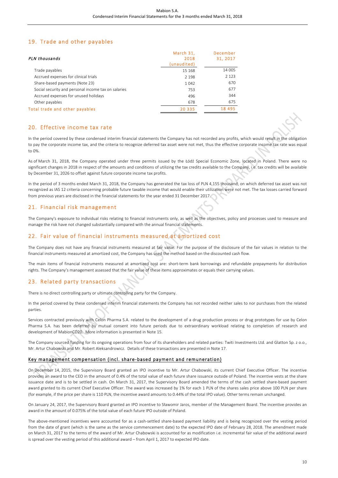# 19. Trade and other payables

| PLN thousands                                       | March 31.<br>2018<br>(unaudited) | December<br>31, 2017 |
|-----------------------------------------------------|----------------------------------|----------------------|
| Trade payables                                      | 15 168                           | 14 005               |
| Accrued expenses for clinical trials                | 2 1 9 8                          | 2 1 2 3              |
| Share-based payments (Note 23)                      | 1042                             | 670                  |
| Social security and personal income tax on salaries | 753                              | 677                  |
| Accrued expenses for unused holidays                | 496                              | 344                  |
| Other payables                                      | 678                              | 675                  |
| Total trade and other payables                      | 20 335                           | 18 495               |

#### 20. Effective income tax rate

In the period covered by these condensed interim financial statements the Company has not recorded any profits, which would result in the obligation to pay the corporate income tax, and the criteria to recognize deferred tax asset were not met, thus the effective corporate income tax rate was equal to 0%.

As of March 31, 2018, the Company operated under three permits issued by the Łódź Special Economic Zone, located in Poland. There were no significant changes in 2018 in respect of the amounts and conditions of utilizing the tax credits available to the Company, i.e. tax credits will be available by December 31, 2026 to offset against future corporate income tax profits.

In the period of 3 months ended March 31, 2018, the Company has generated the tax loss of PLN 4,155 thousand, on which deferred tax asset was not recognized as IAS 12 criteria concerning probable future taxable income that would enable their utilization were not met. The tax losses carried forward from previous years are disclosed in the financial statements for the year ended 31 December 2017.

#### 21. Financial risk management

The Company's exposure to individual risks relating to financial instruments only, as well as the objectives, policy and processes used to measure and manage the risk have not changed substantially compared with the annual financial statements.

# 22. Fair value of financial instruments measured at amortized cost

The Company does not have any financial instruments measured at fair value. For the purpose of the disclosure of the fair values in relation to the financial instruments measured at amortized cost, the Company has used the method based on the discounted cash flow.

The main items of financial instruments measured at amortized cost are: short-term bank borrowings and refundable prepayments for distribution rights. The Company's management assessed that the fair value of these items approximates or equals their carrying values.

### 23. Related party transactions

There is no direct controlling party or ultimate controlling party for the Company.

In the period covered by these condensed interim financial statements the Company has not recorded neither sales to nor purchases from the related parties.

Services contracted previously with Celon Pharma S.A. related to the development of a drug production process or drug prototypes for use by Celon Pharma S.A. has been deferred by mutual consent into future periods due to extraordinary workload relating to completion of research and development of MabionCD20. More information is presented in Note 15.

The Company sourced funding for its ongoing operations from four of its shareholders and related parties: Twiti Investments Ltd. and Glatton Sp. z o.o., Mr. Artur Chabowski and Mr. Robert Aleksandrowicz. Details of these transactions are presented in Note 17.

#### Key management compensation (incl. share-based payment and remuneration)

On December 14, 2015, the Supervisory Board granted an IPO incentive to Mr. Artur Chabowski, its current Chief Executive Officer. The incentive provides an award to the CEO in the amount of 0.4% of the total value of each future share issuance outside of Poland. The incentive vests at the share issuance date and is to be settled in cash. On March 31, 2017, the Supervisory Board amended the terms of the cash settled share-based payment award granted to its current Chief Executive Officer. The award was increased by 1% for each 1 PLN of the shares sales price above 100 PLN per share (for example, if the price per share is 110 PLN, the incentive award amounts to 0.44% of the total IPO value). Other terms remain unchanged.

On January 24, 2017, the Supervisory Board granted an IPO incentive to Sławomir Jaros, member of the Management Board. The incentive provides an award in the amount of 0.075% of the total value of each future IPO outside of Poland.

The above-mentioned incentives were accounted for as a cash-settled share-based payment liability and is being recognized over the vesting period from the date of grant (which is the same as the service commencement date) to the expected IPO date of February 28, 2018. The amendment made on March 31, 2017 to the terms of the award of Mr. Artur Chabowski is accounted for as modification i.e. incremental fair value of the additional award is spread over the vesting period of this additional award – from April 1, 2017 to expected IPO date.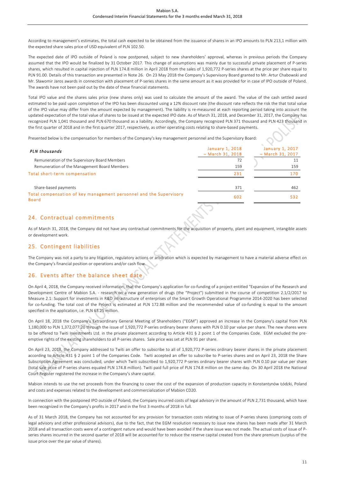According to management's estimates, the total cash expected to be obtained from the issuance of shares in an IPO amounts to PLN 213,1 million with the expected share sales price of USD equivalent of PLN 102.50.

The expected date of IPO outside of Poland is now postponed, subject to new shareholders' approval, whereas in previous periods the Company assumed that the IPO would be finalized by 31 October 2017. This change of assumptions was mainly due to successful private placement of P-series shares, which resulted in capital injection of PLN 174.8 million in April 2018 from the sales of 1,920,772 P-series shares at the price per share equal to PLN 91.00. Details of this transaction are presented in Note 26. On 23 May 2018 the Company's Supervisory Board granted to Mr. Artur Chabowski and Mr. Sławomir Jaros awards in connection with placement of P-series shares in the same amount as it was provided for in case of IPO outside of Poland. The awards have not been paid out by the date of these financial statements.

Total IPO value and the shares sales price (new shares only) was used to calculate the amount of the award. The value of the cash settled award estimated to be paid upon completion of the IPO has been discounted using a 12% discount rate (the discount rate reflects the risk the that total value of the IPO value may differ from the amount expected by management). The liability is re-measured at each reporting period taking into account the updated expectation of the total value of shares to be issued at the expected IPO date. As of March 31, 2018, and December 31, 2017, the Company has recognized PLN 1,041 thousand and PLN 670 thousand as a liability. Accordingly, the Company recognized PLN 371 thousand and PLN 423 thousand in the first quarter of 2018 and in the first quarter 2017, respectively, as other operating costs relating to share-based payments.

Presented below is the compensation for members of the Company's key management personnel and the Supervisory Board:

| PLN thousands                                                                      | <b>January 1, 2018</b><br>$-$ March 31, 2018 | $\Delta \omega$<br><b>January 1, 2017</b><br>$-$ March 31, 2017 |
|------------------------------------------------------------------------------------|----------------------------------------------|-----------------------------------------------------------------|
| Remuneration of the Supervisory Board Members                                      | 72                                           |                                                                 |
| Remuneration of the Management Board Members                                       | 159                                          | 159                                                             |
| Total short-term compensation                                                      | 231                                          | 170                                                             |
| Share-based payments                                                               | 371                                          | 462                                                             |
| Total compensation of key management personnel and the Supervisory<br><b>Board</b> | 602                                          | 532                                                             |
|                                                                                    |                                              |                                                                 |

#### 24. Contractual commitments

As of March 31, 2018, the Company did not have any contractual commitments for the acquisition of property, plant and equipment, intangible assets or development work.

#### 25. Contingent liabilities

The Company was not a party to any litigation, regulatory actions or arbitration which is expected by management to have a material adverse effect on the Company's financial position or operations and/or cash flow.

### 26. Events after the balance sheet date

On April 4, 2018, the Company received information, that the Company's application for co-funding of a project entitled "Expansion of the Research and Development Centre of Mabion S.A. - research on a new generation of drugs (the "Project") submitted in the course of competition 2.1/2/2017 to Measure 2.1: Support for investments in R&D infrastructure of enterprises of the Smart Growth Operational Programme 2014-2020 has been selected for co-funding. The total cost of the Project is estimated at PLN 172.88 million and the recommended value of co-funding is equal to the amount specified in the application, i.e. PLN 63.25 million.

On April 18, 2018 the Company's Extraordinary General Meeting of Shareholders ("EGM") approved an increase in the Company's capital from PLN 1,180,000 to PLN 1,372,077.20 through the issue of 1,920,772 P-series ordinary bearer shares with PLN 0.10 par value per share. The new shares were to be offered to Twiti Investments Ltd. in the private placement according to Article 431 § 2 point 1 of the Companies Code. EGM excluded the preemptive rights of the existing shareholders to all P-series shares. Sale price was set at PLN 91 per share.

On April 23, 2018, the Company addressed to Twiti an offer to subscribe to all of 1,920,772 P-series ordinary bearer shares in the private placement according to Article 431 § 2 point 1 of the Companies Code. Twiti accepted an offer to subscribe to P-series shares and on April 23, 2018 the Share Subscription Agreement was concluded, under which Twiti subscribed to 1,920,772 P-series ordinary bearer shares with PLN 0.10 par value per share (total sale price of P-series shares equaled PLN 174.8 million). Twiti paid full price of PLN 174.8 million on the same day. On 30 April 2018 the National Court Register registered the increase in the Company's share capital.

Mabion intends to use the net proceeds from the financing to cover the cost of the expansion of production capacity in Konstantynów Łódzki, Poland and costs and expenses related to the development and commercialization of Mabion CD20.

In connection with the postponed IPO outside of Poland, the Company incurred costs of legal advisory in the amount of PLN 2,731 thousand, which have been recognized in the Company's profits in 2017 and in the first 3 months of 2018 in full.

As of 31 March 2018, the Company has not accounted for any provision for transaction costs relating to issue of P-series shares (comprising costs of legal advisory and other professional advisors), due to the fact, that the EGM resolution necessary to issue new shares has been made after 31 March 2018 and all transaction costs were of a contingent nature and would have been avoided if the share issue was not made. The actual costs of issue of Pseries shares incurred in the second quarter of 2018 will be accounted for to reduce the reserve capital created from the share premium (surplus of the issue price over the par value of shares).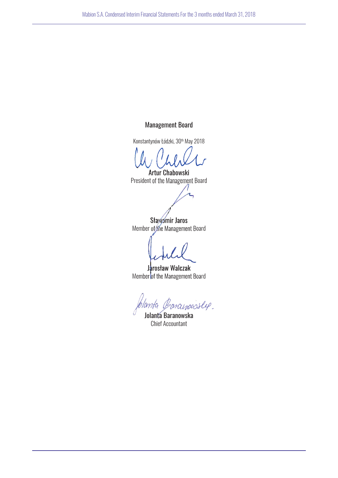# Management Board

Konstantynów Łódzki, 30<sup>th</sup> May 2018

Artur Chabowski President of the Management Board

Sławomir Jaros Member of the Management Board

Jarosław Walczak Member of the Management Board

manoeslep. lamta

Jolanta Baranowska Chief Accountant